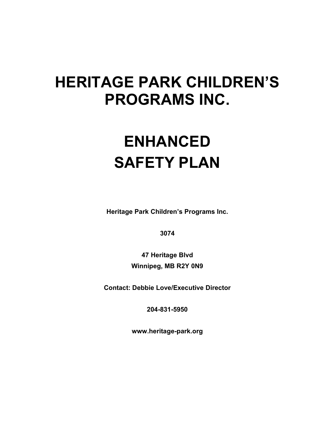# HERITAGE PARK CHILDREN'S PROGRAMS INC.

# ENHANCED SAFETY PLAN

Heritage Park Children's Programs Inc.

3074

47 Heritage Blvd Winnipeg, MB R2Y 0N9

Contact: Debbie Love/Executive Director

204-831-5950

www.heritage-park.org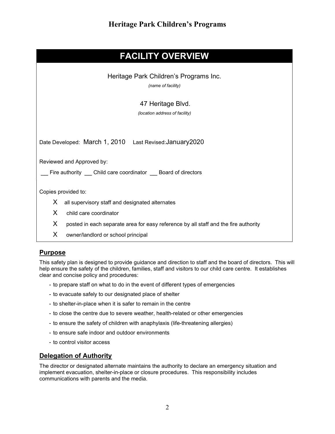# FACILITY OVERVIEW

Heritage Park Children's Programs Inc.

(name of facility)

#### 47 Heritage Blvd.

(location address of facility)

Date Developed: March 1, 2010 Last Revised:January2020

Reviewed and Approved by:

Fire authority Child care coordinator Board of directors

Copies provided to:

- X all supervisory staff and designated alternates
- X child care coordinator
- X posted in each separate area for easy reference by all staff and the fire authority
- X owner/landlord or school principal

#### **Purpose**

This safety plan is designed to provide guidance and direction to staff and the board of directors. This will help ensure the safety of the children, families, staff and visitors to our child care centre. It establishes clear and concise policy and procedures:

- to prepare staff on what to do in the event of different types of emergencies
- to evacuate safely to our designated place of shelter
- to shelter-in-place when it is safer to remain in the centre
- to close the centre due to severe weather, health-related or other emergencies
- to ensure the safety of children with anaphylaxis (life-threatening allergies)
- to ensure safe indoor and outdoor environments
- to control visitor access

#### Delegation of Authority

The director or designated alternate maintains the authority to declare an emergency situation and implement evacuation, shelter-in-place or closure procedures. This responsibility includes communications with parents and the media.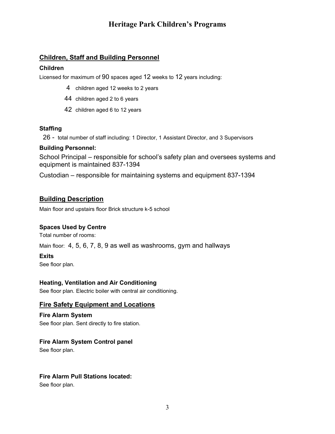### Children, Staff and Building Personnel

#### Children

Licensed for maximum of 90 spaces aged 12 weeks to 12 years including:

- 4 children aged 12 weeks to 2 years
- 44 children aged 2 to 6 years
- 42 children aged 6 to 12 years

#### Staffing

26 - total number of staff including: 1 Director, 1 Assistant Director, and 3 Supervisors

#### Building Personnel:

School Principal – responsible for school's safety plan and oversees systems and equipment is maintained 837-1394

Custodian – responsible for maintaining systems and equipment 837-1394

### Building Description

Main floor and upstairs floor Brick structure k-5 school

#### Spaces Used by Centre

Total number of rooms:

Main floor: 4, 5, 6, 7, 8, 9 as well as washrooms, gym and hallways

#### Exits

See floor plan.

#### Heating, Ventilation and Air Conditioning

See floor plan. Electric boiler with central air conditioning.

#### Fire Safety Equipment and Locations

Fire Alarm System See floor plan. Sent directly to fire station.

#### Fire Alarm System Control panel

See floor plan.

#### Fire Alarm Pull Stations located:

See floor plan.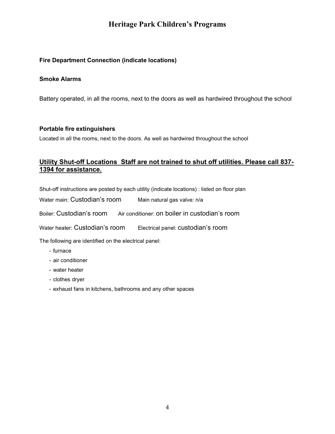#### Fire Department Connection (indicate locations)

#### Smoke Alarms

Battery operated, in all the rooms, next to the doors as well as hardwired throughout the school

#### Portable fire extinguishers

Located in all the rooms, next to the doors. As well as hardwired throughout the school

### Utility Shut-off Locations Staff are not trained to shut off utilities. Please call 837- 1394 for assistance.

Shut-off instructions are posted by each utility (indicate locations) : listed on floor plan

Water main: Custodian's room Main natural gas valve: n/a

Boiler: Custodian's room Air conditioner: on boiler in custodian's room

Water heater: Custodian's room Electrical panel: custodian's room

The following are identified on the electrical panel:

- furnace
- air conditioner
- water heater
- clothes dryer
- exhaust fans in kitchens, bathrooms and any other spaces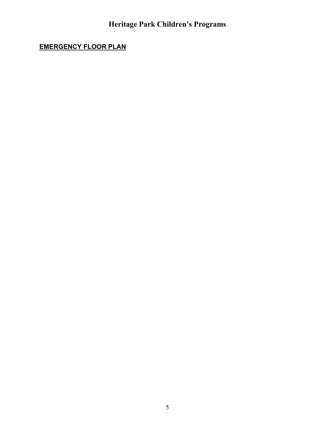# EMERGENCY FLOOR PLAN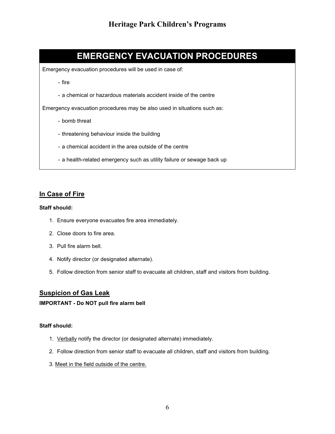# EMERGENCY EVACUATION PROCEDURES

Emergency evacuation procedures will be used in case of:

- fire
- a chemical or hazardous materials accident inside of the centre

Emergency evacuation procedures may be also used in situations such as:

- bomb threat
- threatening behaviour inside the building
- a chemical accident in the area outside of the centre
- a health-related emergency such as utility failure or sewage back up

#### In Case of Fire

#### Staff should:

- 1. Ensure everyone evacuates fire area immediately.
- 2. Close doors to fire area.
- 3. Pull fire alarm bell.
- 4. Notify director (or designated alternate).
- 5. Follow direction from senior staff to evacuate all children, staff and visitors from building.

### Suspicion of Gas Leak

#### IMPORTANT - Do NOT pull fire alarm bell

#### Staff should:

- 1. Verbally notify the director (or designated alternate) immediately.
- 2. Follow direction from senior staff to evacuate all children, staff and visitors from building.
- 3. Meet in the field outside of the centre.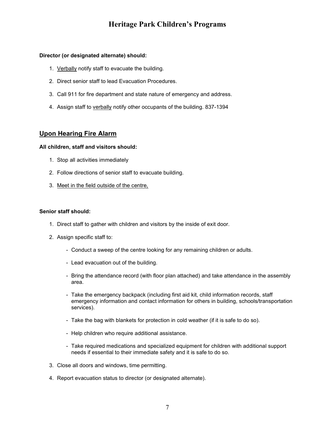#### Director (or designated alternate) should:

- 1. Verbally notify staff to evacuate the building.
- 2. Direct senior staff to lead Evacuation Procedures.
- 3. Call 911 for fire department and state nature of emergency and address.
- 4. Assign staff to verbally notify other occupants of the building. 837-1394

#### Upon Hearing Fire Alarm

#### All children, staff and visitors should:

- 1. Stop all activities immediately
- 2. Follow directions of senior staff to evacuate building.
- 3. Meet in the field outside of the centre,

#### Senior staff should:

- 1. Direct staff to gather with children and visitors by the inside of exit door.
- 2. Assign specific staff to:
	- Conduct a sweep of the centre looking for any remaining children or adults.
	- Lead evacuation out of the building.
	- Bring the attendance record (with floor plan attached) and take attendance in the assembly area.
	- Take the emergency backpack (including first aid kit, child information records, staff emergency information and contact information for others in building, schools/transportation services).
	- Take the bag with blankets for protection in cold weather (if it is safe to do so).
	- Help children who require additional assistance.
	- Take required medications and specialized equipment for children with additional support needs if essential to their immediate safety and it is safe to do so.
- 3. Close all doors and windows, time permitting.
- 4. Report evacuation status to director (or designated alternate).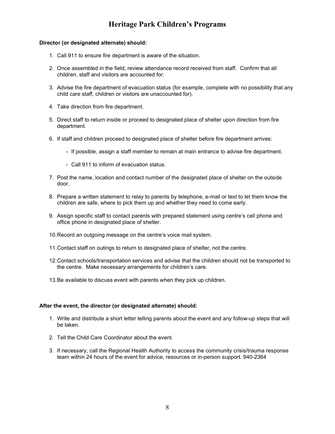#### Director (or designated alternate) should:

- 1. Call 911 to ensure fire department is aware of the situation.
- 2. Once assembled in the field, review attendance record received from staff. Confirm that all children, staff and visitors are accounted for.
- 3. Advise the fire department of evacuation status (for example, complete with no possibility that any child care staff, children or visitors are unaccounted for).
- 4. Take direction from fire department.
- 5. Direct staff to return inside or proceed to designated place of shelter upon direction from fire department.
- 6. If staff and children proceed to designated place of shelter before fire department arrives:
	- If possible, assign a staff member to remain at main entrance to advise fire department.
	- Call 911 to inform of evacuation status.
- 7. Post the name, location and contact number of the designated place of shelter on the outside door.
- 8. Prepare a written statement to relay to parents by telephone, e-mail or text to let them know the children are safe, where to pick them up and whether they need to come early.
- 9. Assign specific staff to contact parents with prepared statement using centre's cell phone and office phone in designated place of shelter.
- 10. Record an outgoing message on the centre's voice mail system.
- 11. Contact staff on outings to return to designated place of shelter, not the centre.
- 12. Contact schools/transportation services and advise that the children should not be transported to the centre. Make necessary arrangements for children's care.
- 13. Be available to discuss event with parents when they pick up children.

#### After the event, the director (or designated alternate) should:

- 1. Write and distribute a short letter telling parents about the event and any follow-up steps that will be taken.
- 2. Tell the Child Care Coordinator about the event.
- 3. If necessary, call the Regional Health Authority to access the community crisis/trauma response team within 24 hours of the event for advice, resources or in-person support. 940-2364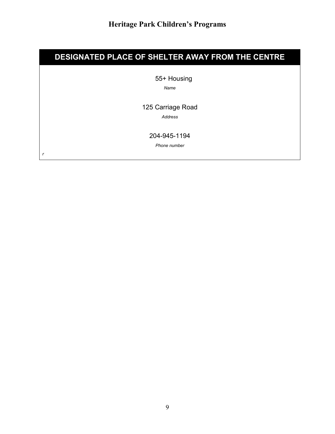# DESIGNATED PLACE OF SHELTER AWAY FROM THE CENTRE

55+ Housing

Name

125 Carriage Road

Address

204-945-1194

Phone number

r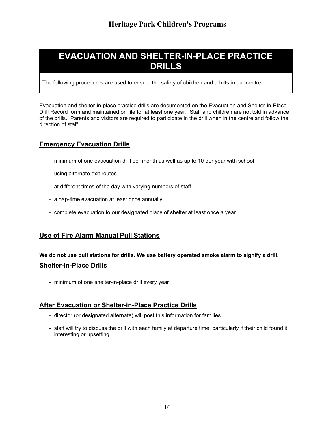# EVACUATION AND SHELTER-IN-PLACE PRACTICE DRILLS

The following procedures are used to ensure the safety of children and adults in our centre.

Evacuation and shelter-in-place practice drills are documented on the Evacuation and Shelter-in-Place Drill Record form and maintained on file for at least one year. Staff and children are not told in advance of the drills. Parents and visitors are required to participate in the drill when in the centre and follow the direction of staff.

### Emergency Evacuation Drills

- minimum of one evacuation drill per month as well as up to 10 per year with school
- using alternate exit routes
- at different times of the day with varying numbers of staff
- a nap-time evacuation at least once annually
- complete evacuation to our designated place of shelter at least once a year

### Use of Fire Alarm Manual Pull Stations

# We do not use pull stations for drills. We use battery operated smoke alarm to signify a drill. Shelter-in-Place Drills

- minimum of one shelter-in-place drill every year

### After Evacuation or Shelter-in-Place Practice Drills

- director (or designated alternate) will post this information for families
- staff will try to discuss the drill with each family at departure time, particularly if their child found it interesting or upsetting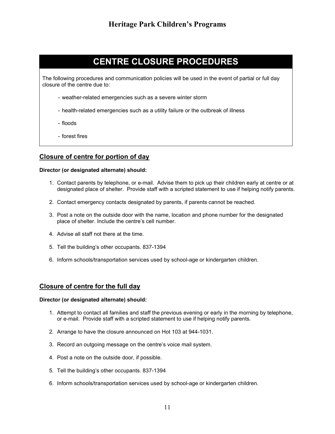# CENTRE CLOSURE PROCEDURES

The following procedures and communication policies will be used in the event of partial or full day closure of the centre due to:

- weather-related emergencies such as a severe winter storm
- health-related emergencies such as a utility failure or the outbreak of illness
- floods
- forest fires

#### Closure of centre for portion of day

#### Director (or designated alternate) should:

- 1. Contact parents by telephone, or e-mail. Advise them to pick up their children early at centre or at designated place of shelter. Provide staff with a scripted statement to use if helping notify parents.
- 2. Contact emergency contacts designated by parents, if parents cannot be reached.
- 3. Post a note on the outside door with the name, location and phone number for the designated place of shelter. Include the centre's cell number.
- 4. Advise all staff not there at the time.
- 5. Tell the building's other occupants. 837-1394
- 6. Inform schools/transportation services used by school-age or kindergarten children.

#### Closure of centre for the full day

- 1. Attempt to contact all families and staff the previous evening or early in the morning by telephone, or e-mail. Provide staff with a scripted statement to use if helping notify parents.
- 2. Arrange to have the closure announced on Hot 103 at 944-1031.
- 3. Record an outgoing message on the centre's voice mail system.
- 4. Post a note on the outside door, if possible.
- 5. Tell the building's other occupants. 837-1394
- 6. Inform schools/transportation services used by school-age or kindergarten children.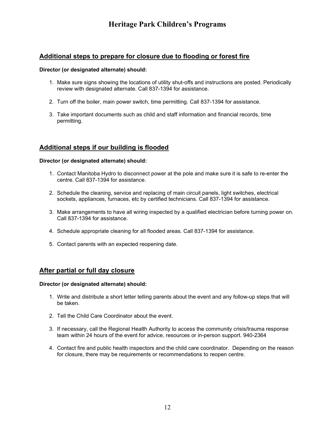### Additional steps to prepare for closure due to flooding or forest fire

#### Director (or designated alternate) should:

- 1. Make sure signs showing the locations of utility shut-offs and instructions are posted. Periodically review with designated alternate. Call 837-1394 for assistance.
- 2. Turn off the boiler, main power switch, time permitting. Call 837-1394 for assistance.
- 3. Take important documents such as child and staff information and financial records, time permitting.

### Additional steps if our building is flooded

#### Director (or designated alternate) should:

- 1. Contact Manitoba Hydro to disconnect power at the pole and make sure it is safe to re-enter the centre. Call 837-1394 for assistance.
- 2. Schedule the cleaning, service and replacing of main circuit panels, light switches, electrical sockets, appliances, furnaces, etc by certified technicians. Call 837-1394 for assistance.
- 3. Make arrangements to have all wiring inspected by a qualified electrician before turning power on. Call 837-1394 for assistance.
- 4. Schedule appropriate cleaning for all flooded areas. Call 837-1394 for assistance.
- 5. Contact parents with an expected reopening date.

#### After partial or full day closure

- 1. Write and distribute a short letter telling parents about the event and any follow-up steps that will be taken.
- 2. Tell the Child Care Coordinator about the event.
- 3. If necessary, call the Regional Health Authority to access the community crisis/trauma response team within 24 hours of the event for advice, resources or in-person support. 940-2364
- 4. Contact fire and public health inspectors and the child care coordinator. Depending on the reason for closure, there may be requirements or recommendations to reopen centre.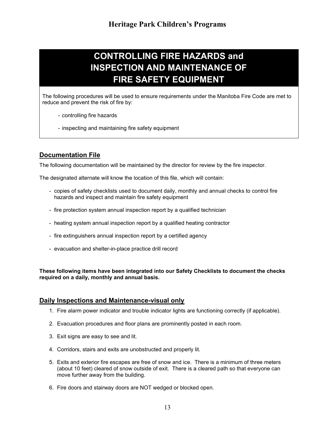# CONTROLLING FIRE HAZARDS and INSPECTION AND MAINTENANCE OF FIRE SAFETY EQUIPMENT

The following procedures will be used to ensure requirements under the Manitoba Fire Code are met to reduce and prevent the risk of fire by:

- controlling fire hazards
- inspecting and maintaining fire safety equipment

### Documentation File

The following documentation will be maintained by the director for review by the fire inspector.

The designated alternate will know the location of this file, which will contain:

- copies of safety checklists used to document daily, monthly and annual checks to control fire hazards and inspect and maintain fire safety equipment
- fire protection system annual inspection report by a qualified technician
- heating system annual inspection report by a qualified heating contractor
- fire extinguishers annual inspection report by a certified agency
- evacuation and shelter-in-place practice drill record

These following items have been integrated into our Safety Checklists to document the checks required on a daily, monthly and annual basis.

#### Daily Inspections and Maintenance-visual only

- 1. Fire alarm power indicator and trouble indicator lights are functioning correctly (if applicable).
- 2. Evacuation procedures and floor plans are prominently posted in each room.
- 3. Exit signs are easy to see and lit.
- 4. Corridors, stairs and exits are unobstructed and properly lit.
- 5. Exits and exterior fire escapes are free of snow and ice. There is a minimum of three meters (about 10 feet) cleared of snow outside of exit. There is a cleared path so that everyone can move further away from the building.
- 6. Fire doors and stairway doors are NOT wedged or blocked open.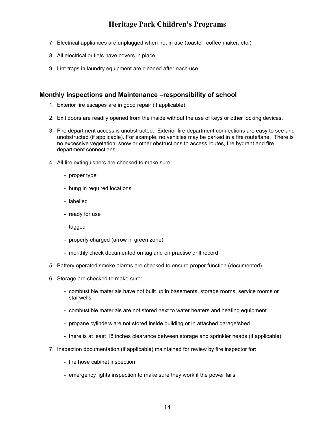- 7. Electrical appliances are unplugged when not in use (toaster, coffee maker, etc.)
- 8. All electrical outlets have covers in place.
- 9. Lint traps in laundry equipment are cleaned after each use.

#### Monthly Inspections and Maintenance –responsibility of school

- 1. Exterior fire escapes are in good repair (if applicable).
- 2. Exit doors are readily opened from the inside without the use of keys or other locking devices.
- 3. Fire department access is unobstructed. Exterior fire department connections are easy to see and unobstructed (if applicable). For example, no vehicles may be parked in a fire route/lane. There is no excessive vegetation, snow or other obstructions to access routes, fire hydrant and fire department connections.
- 4. All fire extinguishers are checked to make sure:
	- proper type
	- hung in required locations
	- labelled
	- ready for use
	- tagged
	- properly charged (arrow in green zone)
	- monthly check documented on tag and on practise drill record
- 5. Battery operated smoke alarms are checked to ensure proper function (documented).
- 6. Storage are checked to make sure:
	- combustible materials have not built up in basements, storage rooms, service rooms or stairwells
	- combustible materials are not stored next to water heaters and heating equipment
	- propane cylinders are not stored inside building or in attached garage/shed
	- there is at least 18 inches clearance between storage and sprinkler heads (if applicable)
- 7. Inspection documentation (if applicable) maintained for review by fire inspector for:
	- fire hose cabinet inspection
	- emergency lights inspection to make sure they work if the power fails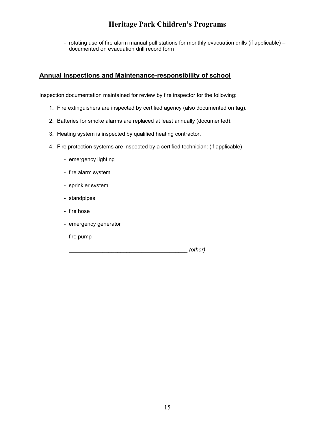- rotating use of fire alarm manual pull stations for monthly evacuation drills (if applicable) – documented on evacuation drill record form

### Annual Inspections and Maintenance-responsibility of school

Inspection documentation maintained for review by fire inspector for the following:

- 1. Fire extinguishers are inspected by certified agency (also documented on tag).
- 2. Batteries for smoke alarms are replaced at least annually (documented).
- 3. Heating system is inspected by qualified heating contractor.
- 4. Fire protection systems are inspected by a certified technician: (if applicable)
	- emergency lighting
	- fire alarm system
	- sprinkler system
	- standpipes
	- fire hose
	- emergency generator
	- fire pump
	- \_\_\_\_\_\_\_\_\_\_\_\_\_\_\_\_\_\_\_\_\_\_\_\_\_\_\_\_\_\_\_\_\_\_\_\_\_\_\_ (other)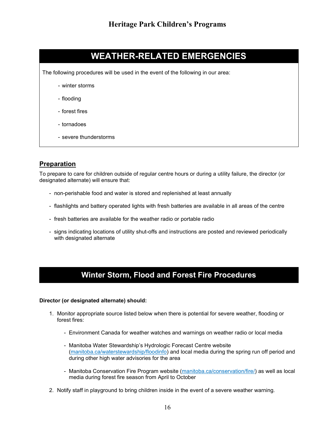# WEATHER-RELATED EMERGENCIES

The following procedures will be used in the event of the following in our area:

- winter storms
- flooding
- forest fires
- tornadoes
- severe thunderstorms

### **Preparation**

To prepare to care for children outside of regular centre hours or during a utility failure, the director (or designated alternate) will ensure that:

- non-perishable food and water is stored and replenished at least annually
- flashlights and battery operated lights with fresh batteries are available in all areas of the centre
- fresh batteries are available for the weather radio or portable radio
- signs indicating locations of utility shut-offs and instructions are posted and reviewed periodically with designated alternate

# Winter Storm, Flood and Forest Fire Procedures

- 1. Monitor appropriate source listed below when there is potential for severe weather, flooding or forest fires:
	- Environment Canada for weather watches and warnings on weather radio or local media
	- Manitoba Water Stewardship's Hydrologic Forecast Centre website (manitoba.ca/waterstewardship/floodinfo) and local media during the spring run off period and during other high water advisories for the area
	- Manitoba Conservation Fire Program website (manitoba.ca/conservation/fire/) as well as local media during forest fire season from April to October
- 2. Notify staff in playground to bring children inside in the event of a severe weather warning.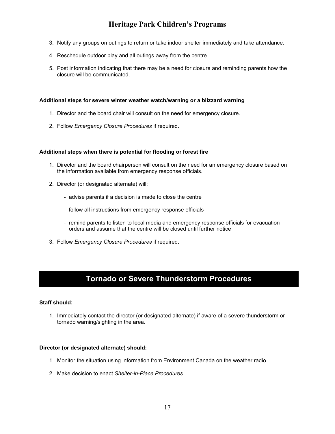- 3. Notify any groups on outings to return or take indoor shelter immediately and take attendance.
- 4. Reschedule outdoor play and all outings away from the centre.
- 5. Post information indicating that there may be a need for closure and reminding parents how the closure will be communicated.

#### Additional steps for severe winter weather watch/warning or a blizzard warning

- 1. Director and the board chair will consult on the need for emergency closure.
- 2. Follow Emergency Closure Procedures if required.

#### Additional steps when there is potential for flooding or forest fire

- 1. Director and the board chairperson will consult on the need for an emergency closure based on the information available from emergency response officials.
- 2. Director (or designated alternate) will:
	- advise parents if a decision is made to close the centre
	- follow all instructions from emergency response officials
	- remind parents to listen to local media and emergency response officials for evacuation orders and assume that the centre will be closed until further notice
- 3. Follow Emergency Closure Procedures if required.

# Tornado or Severe Thunderstorm Procedures

#### Staff should:

1. Immediately contact the director (or designated alternate) if aware of a severe thunderstorm or tornado warning/sighting in the area.

- 1. Monitor the situation using information from Environment Canada on the weather radio.
- 2. Make decision to enact Shelter-in-Place Procedures.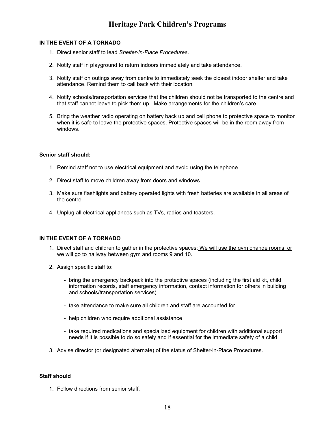#### IN THE EVENT OF A TORNADO

- 1. Direct senior staff to lead Shelter-in-Place Procedures.
- 2. Notify staff in playground to return indoors immediately and take attendance.
- 3. Notify staff on outings away from centre to immediately seek the closest indoor shelter and take attendance. Remind them to call back with their location.
- 4. Notify schools/transportation services that the children should not be transported to the centre and that staff cannot leave to pick them up. Make arrangements for the children's care.
- 5. Bring the weather radio operating on battery back up and cell phone to protective space to monitor when it is safe to leave the protective spaces. Protective spaces will be in the room away from windows.

#### Senior staff should:

- 1. Remind staff not to use electrical equipment and avoid using the telephone.
- 2. Direct staff to move children away from doors and windows.
- 3. Make sure flashlights and battery operated lights with fresh batteries are available in all areas of the centre.
- 4. Unplug all electrical appliances such as TVs, radios and toasters.

#### IN THE EVENT OF A TORNADO

- 1. Direct staff and children to gather in the protective spaces: We will use the gym change rooms, or we will go to hallway between gym and rooms 9 and 10.
- 2. Assign specific staff to:
	- bring the emergency backpack into the protective spaces (including the first aid kit, child information records, staff emergency information, contact information for others in building and schools/transportation services)
	- take attendance to make sure all children and staff are accounted for
	- help children who require additional assistance
	- take required medications and specialized equipment for children with additional support needs if it is possible to do so safely and if essential for the immediate safety of a child
- 3. Advise director (or designated alternate) of the status of Shelter-in-Place Procedures.

#### Staff should

1. Follow directions from senior staff.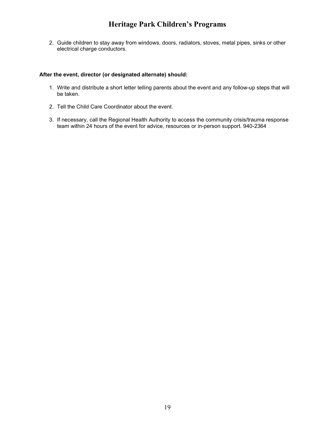2. Guide children to stay away from windows, doors, radiators, stoves, metal pipes, sinks or other electrical charge conductors.

#### After the event, director (or designated alternate) should:

- 1. Write and distribute a short letter telling parents about the event and any follow-up steps that will be taken.
- 2. Tell the Child Care Coordinator about the event.
- 3. If necessary, call the Regional Health Authority to access the community crisis/trauma response team within 24 hours of the event for advice, resources or in-person support. 940-2364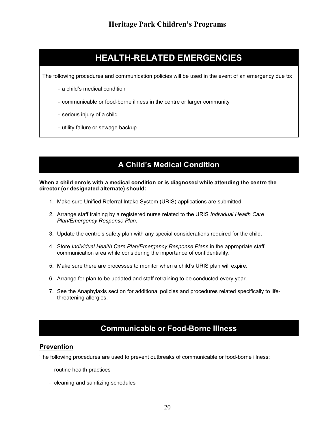# HEALTH-RELATED EMERGENCIES

The following procedures and communication policies will be used in the event of an emergency due to:

- a child's medical condition
- communicable or food-borne illness in the centre or larger community
- serious injury of a child
- utility failure or sewage backup

# A Child's Medical Condition

#### When a child enrols with a medical condition or is diagnosed while attending the centre the director (or designated alternate) should:

- 1. Make sure Unified Referral Intake System (URIS) applications are submitted.
- 2. Arrange staff training by a registered nurse related to the URIS Individual Health Care Plan/Emergency Response Plan.
- 3. Update the centre's safety plan with any special considerations required for the child.
- 4. Store Individual Health Care Plan/Emergency Response Plans in the appropriate staff communication area while considering the importance of confidentiality.
- 5. Make sure there are processes to monitor when a child's URIS plan will expire.
- 6. Arrange for plan to be updated and staff retraining to be conducted every year.
- 7. See the Anaphylaxis section for additional policies and procedures related specifically to lifethreatening allergies.

# Communicable or Food-Borne Illness

#### Prevention

The following procedures are used to prevent outbreaks of communicable or food-borne illness:

- routine health practices
- cleaning and sanitizing schedules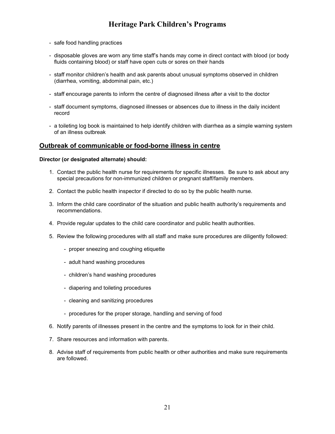- safe food handling practices
- disposable gloves are worn any time staff's hands may come in direct contact with blood (or body fluids containing blood) or staff have open cuts or sores on their hands
- staff monitor children's health and ask parents about unusual symptoms observed in children (diarrhea, vomiting, abdominal pain, etc.)
- staff encourage parents to inform the centre of diagnosed illness after a visit to the doctor
- staff document symptoms, diagnosed illnesses or absences due to illness in the daily incident record
- a toileting log book is maintained to help identify children with diarrhea as a simple warning system of an illness outbreak

#### Outbreak of communicable or food-borne illness in centre

- 1. Contact the public health nurse for requirements for specific illnesses. Be sure to ask about any special precautions for non-immunized children or pregnant staff/family members.
- 2. Contact the public health inspector if directed to do so by the public health nurse.
- 3. Inform the child care coordinator of the situation and public health authority's requirements and recommendations.
- 4. Provide regular updates to the child care coordinator and public health authorities.
- 5. Review the following procedures with all staff and make sure procedures are diligently followed:
	- proper sneezing and coughing etiquette
	- adult hand washing procedures
	- children's hand washing procedures
	- diapering and toileting procedures
	- cleaning and sanitizing procedures
	- procedures for the proper storage, handling and serving of food
- 6. Notify parents of illnesses present in the centre and the symptoms to look for in their child.
- 7. Share resources and information with parents.
- 8. Advise staff of requirements from public health or other authorities and make sure requirements are followed.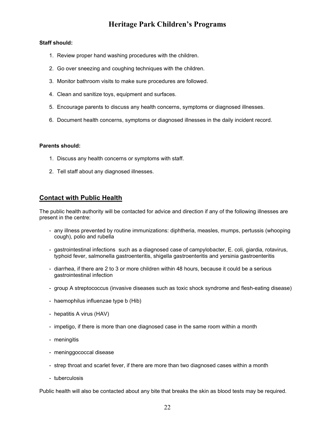#### Staff should:

- 1. Review proper hand washing procedures with the children.
- 2. Go over sneezing and coughing techniques with the children.
- 3. Monitor bathroom visits to make sure procedures are followed.
- 4. Clean and sanitize toys, equipment and surfaces.
- 5. Encourage parents to discuss any health concerns, symptoms or diagnosed illnesses.
- 6. Document health concerns, symptoms or diagnosed illnesses in the daily incident record.

#### Parents should:

- 1. Discuss any health concerns or symptoms with staff.
- 2. Tell staff about any diagnosed illnesses.

#### **Contact with Public Health**

The public health authority will be contacted for advice and direction if any of the following illnesses are present in the centre:

- any illness prevented by routine immunizations: diphtheria, measles, mumps, pertussis (whooping cough), polio and rubella
- gastrointestinal infections such as a diagnosed case of campylobacter, E. coli, giardia, rotavirus, typhoid fever, salmonella gastroenteritis, shigella gastroenteritis and yersinia gastroenteritis
- diarrhea, if there are 2 to 3 or more children within 48 hours, because it could be a serious gastrointestinal infection
- group A streptococcus (invasive diseases such as toxic shock syndrome and flesh-eating disease)
- haemophilus influenzae type b (Hib)
- hepatitis A virus (HAV)
- impetigo, if there is more than one diagnosed case in the same room within a month
- meningitis
- meninggococcal disease
- strep throat and scarlet fever, if there are more than two diagnosed cases within a month
- tuberculosis

Public health will also be contacted about any bite that breaks the skin as blood tests may be required.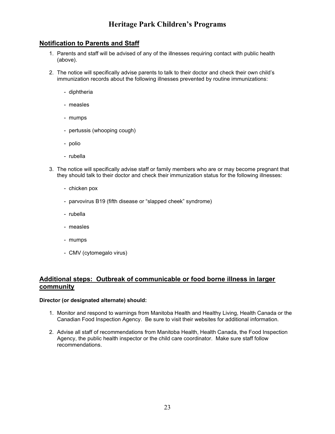### Notification to Parents and Staff

- 1. Parents and staff will be advised of any of the illnesses requiring contact with public health (above).
- 2. The notice will specifically advise parents to talk to their doctor and check their own child's immunization records about the following illnesses prevented by routine immunizations:
	- diphtheria
	- measles
	- mumps
	- pertussis (whooping cough)
	- polio
	- rubella
- 3. The notice will specifically advise staff or family members who are or may become pregnant that they should talk to their doctor and check their immunization status for the following illnesses:
	- chicken pox
	- parvovirus B19 (fifth disease or "slapped cheek" syndrome)
	- rubella
	- measles
	- mumps
	- CMV (cytomegalo virus)

#### Additional steps: Outbreak of communicable or food borne illness in larger community

- 1. Monitor and respond to warnings from Manitoba Health and Healthy Living, Health Canada or the Canadian Food Inspection Agency. Be sure to visit their websites for additional information.
- 2. Advise all staff of recommendations from Manitoba Health, Health Canada, the Food Inspection Agency, the public health inspector or the child care coordinator. Make sure staff follow recommendations.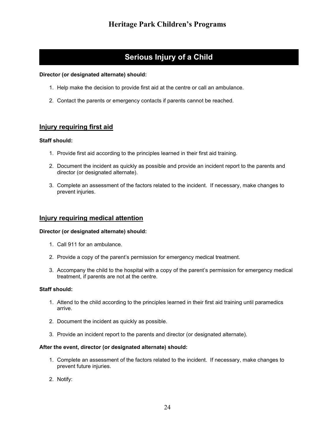# Serious Injury of a Child

#### Director (or designated alternate) should:

- 1. Help make the decision to provide first aid at the centre or call an ambulance.
- 2. Contact the parents or emergency contacts if parents cannot be reached.

#### Injury requiring first aid

#### Staff should:

- 1. Provide first aid according to the principles learned in their first aid training.
- 2. Document the incident as quickly as possible and provide an incident report to the parents and director (or designated alternate).
- 3. Complete an assessment of the factors related to the incident. If necessary, make changes to prevent injuries.

#### Injury requiring medical attention

#### Director (or designated alternate) should:

- 1. Call 911 for an ambulance.
- 2. Provide a copy of the parent's permission for emergency medical treatment.
- 3. Accompany the child to the hospital with a copy of the parent's permission for emergency medical treatment, if parents are not at the centre.

#### Staff should:

- 1. Attend to the child according to the principles learned in their first aid training until paramedics arrive.
- 2. Document the incident as quickly as possible.
- 3. Provide an incident report to the parents and director (or designated alternate).

#### After the event, director (or designated alternate) should:

- 1. Complete an assessment of the factors related to the incident. If necessary, make changes to prevent future injuries.
- 2. Notify: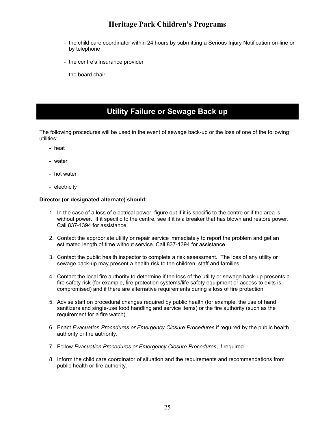- the child care coordinator within 24 hours by submitting a Serious Injury Notification on-line or by telephone
- the centre's insurance provider
- the board chair

# Utility Failure or Sewage Back up

The following procedures will be used in the event of sewage back-up or the loss of one of the following utilities:

- heat
- water
- hot water
- electricity

- 1. In the case of a loss of electrical power, figure out if it is specific to the centre or if the area is without power. If it specific to the centre, see if it is a breaker that has blown and restore power. Call 837-1394 for assistance.
- 2. Contact the appropriate utility or repair service immediately to report the problem and get an estimated length of time without service. Call 837-1394 for assistance.
- 3. Contact the public health inspector to complete a risk assessment. The loss of any utility or sewage back-up may present a health risk to the children, staff and families.
- 4. Contact the local fire authority to determine if the loss of the utility or sewage back-up presents a fire safety risk (for example, fire protection systems/life safety equipment or access to exits is compromised) and if there are alternative requirements during a loss of fire protection.
- 5. Advise staff on procedural changes required by public health (for example, the use of hand sanitizers and single-use food handling and service items) or the fire authority (such as the requirement for a fire watch).
- 6. Enact Evacuation Procedures or Emergency Closure Procedures if required by the public health authority or fire authority.
- 7. Follow Evacuation Procedures or Emergency Closure Procedures, if required.
- 8. Inform the child care coordinator of situation and the requirements and recommendations from public health or fire authority.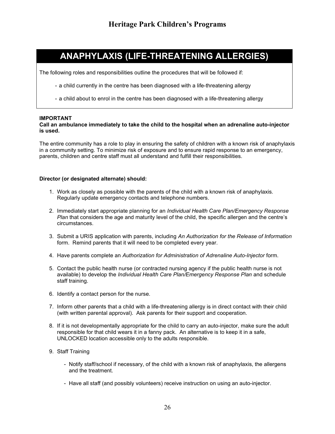# ANAPHYLAXIS (LIFE-THREATENING ALLERGIES)

The following roles and responsibilities outline the procedures that will be followed if:

- a child currently in the centre has been diagnosed with a life-threatening allergy
- a child about to enrol in the centre has been diagnosed with a life-threatening allergy

#### IMPORTANT

#### Call an ambulance immediately to take the child to the hospital when an adrenaline auto-injector is used.

The entire community has a role to play in ensuring the safety of children with a known risk of anaphylaxis in a community setting. To minimize risk of exposure and to ensure rapid response to an emergency, parents, children and centre staff must all understand and fulfill their responsibilities.

- 1. Work as closely as possible with the parents of the child with a known risk of anaphylaxis. Regularly update emergency contacts and telephone numbers.
- 2. Immediately start appropriate planning for an Individual Health Care Plan/Emergency Response Plan that considers the age and maturity level of the child, the specific allergen and the centre's circumstances.
- 3. Submit a URIS application with parents, including An Authorization for the Release of Information form. Remind parents that it will need to be completed every year.
- 4. Have parents complete an Authorization for Administration of Adrenaline Auto-Injector form.
- 5. Contact the public health nurse (or contracted nursing agency if the public health nurse is not available) to develop the *Individual Health Care Plan/Emergency Response Plan* and schedule staff training.
- 6. Identify a contact person for the nurse.
- 7. Inform other parents that a child with a life-threatening allergy is in direct contact with their child (with written parental approval). Ask parents for their support and cooperation.
- 8. If it is not developmentally appropriate for the child to carry an auto-injector, make sure the adult responsible for that child wears it in a fanny pack. An alternative is to keep it in a safe, UNLOCKED location accessible only to the adults responsible.
- 9. Staff Training
	- Notify staff/school if necessary, of the child with a known risk of anaphylaxis, the allergens and the treatment.
	- Have all staff (and possibly volunteers) receive instruction on using an auto-injector.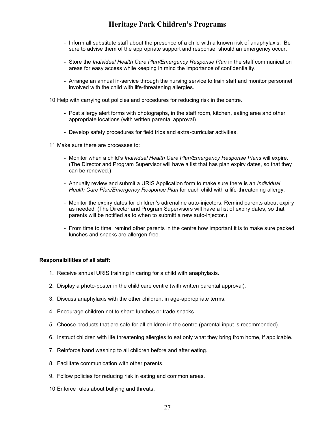- Inform all substitute staff about the presence of a child with a known risk of anaphylaxis. Be sure to advise them of the appropriate support and response, should an emergency occur.
- Store the Individual Health Care Plan/Emergency Response Plan in the staff communication areas for easy access while keeping in mind the importance of confidentiality.
- Arrange an annual in-service through the nursing service to train staff and monitor personnel involved with the child with life-threatening allergies.

10. Help with carrying out policies and procedures for reducing risk in the centre.

- Post allergy alert forms with photographs, in the staff room, kitchen, eating area and other appropriate locations (with written parental approval).
- Develop safety procedures for field trips and extra-curricular activities.

11. Make sure there are processes to:

- Monitor when a child's Individual Health Care Plan/Emergency Response Plans will expire. (The Director and Program Supervisor will have a list that has plan expiry dates, so that they can be renewed.)
- Annually review and submit a URIS Application form to make sure there is an *Individual* Health Care Plan/Emergency Response Plan for each child with a life-threatening allergy.
- Monitor the expiry dates for children's adrenaline auto-injectors. Remind parents about expiry as needed. (The Director and Program Supervisors will have a list of expiry dates, so that parents will be notified as to when to submitt a new auto-injector.)
- From time to time, remind other parents in the centre how important it is to make sure packed lunches and snacks are allergen-free.

#### Responsibilities of all staff:

- 1. Receive annual URIS training in caring for a child with anaphylaxis.
- 2. Display a photo-poster in the child care centre (with written parental approval).
- 3. Discuss anaphylaxis with the other children, in age-appropriate terms.
- 4. Encourage children not to share lunches or trade snacks.
- 5. Choose products that are safe for all children in the centre (parental input is recommended).
- 6. Instruct children with life threatening allergies to eat only what they bring from home, if applicable.
- 7. Reinforce hand washing to all children before and after eating.
- 8. Facilitate communication with other parents.
- 9. Follow policies for reducing risk in eating and common areas.
- 10. Enforce rules about bullying and threats.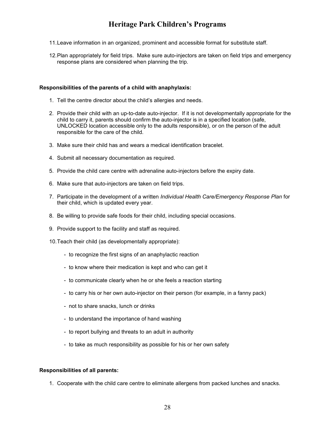- 11. Leave information in an organized, prominent and accessible format for substitute staff.
- 12. Plan appropriately for field trips. Make sure auto-injectors are taken on field trips and emergency response plans are considered when planning the trip.

#### Responsibilities of the parents of a child with anaphylaxis:

- 1. Tell the centre director about the child's allergies and needs.
- 2. Provide their child with an up-to-date auto-injector. If it is not developmentally appropriate for the child to carry it, parents should confirm the auto-injector is in a specified location (safe, UNLOCKED location accessible only to the adults responsible), or on the person of the adult responsible for the care of the child.
- 3. Make sure their child has and wears a medical identification bracelet.
- 4. Submit all necessary documentation as required.
- 5. Provide the child care centre with adrenaline auto-injectors before the expiry date.
- 6. Make sure that auto-injectors are taken on field trips.
- 7. Participate in the development of a written Individual Health Care/Emergency Response Plan for their child, which is updated every year.
- 8. Be willing to provide safe foods for their child, including special occasions.
- 9. Provide support to the facility and staff as required.
- 10. Teach their child (as developmentally appropriate):
	- to recognize the first signs of an anaphylactic reaction
	- to know where their medication is kept and who can get it
	- to communicate clearly when he or she feels a reaction starting
	- to carry his or her own auto-injector on their person (for example, in a fanny pack)
	- not to share snacks, lunch or drinks
	- to understand the importance of hand washing
	- to report bullying and threats to an adult in authority
	- to take as much responsibility as possible for his or her own safety

#### Responsibilities of all parents:

1. Cooperate with the child care centre to eliminate allergens from packed lunches and snacks.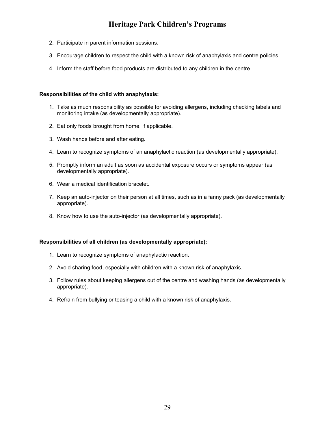- 2. Participate in parent information sessions.
- 3. Encourage children to respect the child with a known risk of anaphylaxis and centre policies.
- 4. Inform the staff before food products are distributed to any children in the centre.

#### Responsibilities of the child with anaphylaxis:

- 1. Take as much responsibility as possible for avoiding allergens, including checking labels and monitoring intake (as developmentally appropriate).
- 2. Eat only foods brought from home, if applicable.
- 3. Wash hands before and after eating.
- 4. Learn to recognize symptoms of an anaphylactic reaction (as developmentally appropriate).
- 5. Promptly inform an adult as soon as accidental exposure occurs or symptoms appear (as developmentally appropriate).
- 6. Wear a medical identification bracelet.
- 7. Keep an auto-injector on their person at all times, such as in a fanny pack (as developmentally appropriate).
- 8. Know how to use the auto-injector (as developmentally appropriate).

#### Responsibilities of all children (as developmentally appropriate):

- 1. Learn to recognize symptoms of anaphylactic reaction.
- 2. Avoid sharing food, especially with children with a known risk of anaphylaxis.
- 3. Follow rules about keeping allergens out of the centre and washing hands (as developmentally appropriate).
- 4. Refrain from bullying or teasing a child with a known risk of anaphylaxis.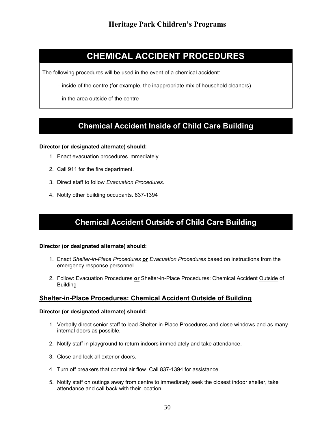# CHEMICAL ACCIDENT PROCEDURES

The following procedures will be used in the event of a chemical accident:

- inside of the centre (for example, the inappropriate mix of household cleaners)
- in the area outside of the centre

# Chemical Accident Inside of Child Care Building

#### Director (or designated alternate) should:

- 1. Enact evacuation procedures immediately.
- 2. Call 911 for the fire department.
- 3. Direct staff to follow Evacuation Procedures.
- 4. Notify other building occupants. 837-1394

# Chemical Accident Outside of Child Care Building

#### Director (or designated alternate) should:

- 1. Enact Shelter-in-Place Procedures or Evacuation Procedures based on instructions from the emergency response personnel
- 2. Follow: Evacuation Procedures or Shelter-in-Place Procedures: Chemical Accident Outside of **Building**

#### Shelter-in-Place Procedures: Chemical Accident Outside of Building

- 1. Verbally direct senior staff to lead Shelter-in-Place Procedures and close windows and as many internal doors as possible.
- 2. Notify staff in playground to return indoors immediately and take attendance.
- 3. Close and lock all exterior doors.
- 4. Turn off breakers that control air flow. Call 837-1394 for assistance.
- 5. Notify staff on outings away from centre to immediately seek the closest indoor shelter, take attendance and call back with their location.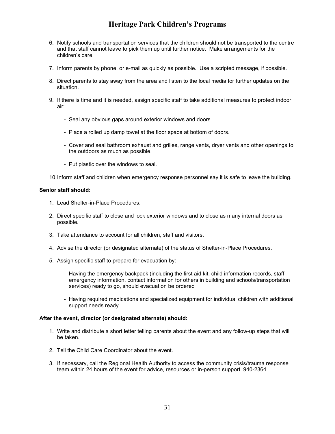- 6. Notify schools and transportation services that the children should not be transported to the centre and that staff cannot leave to pick them up until further notice. Make arrangements for the children's care.
- 7. Inform parents by phone, or e-mail as quickly as possible. Use a scripted message, if possible.
- 8. Direct parents to stay away from the area and listen to the local media for further updates on the situation.
- 9. If there is time and it is needed, assign specific staff to take additional measures to protect indoor air:
	- Seal any obvious gaps around exterior windows and doors.
	- Place a rolled up damp towel at the floor space at bottom of doors.
	- Cover and seal bathroom exhaust and grilles, range vents, dryer vents and other openings to the outdoors as much as possible.
	- Put plastic over the windows to seal.

10. Inform staff and children when emergency response personnel say it is safe to leave the building.

#### Senior staff should:

- 1. Lead Shelter-in-Place Procedures.
- 2. Direct specific staff to close and lock exterior windows and to close as many internal doors as possible.
- 3. Take attendance to account for all children, staff and visitors.
- 4. Advise the director (or designated alternate) of the status of Shelter-in-Place Procedures.
- 5. Assign specific staff to prepare for evacuation by:
	- Having the emergency backpack (including the first aid kit, child information records, staff emergency information, contact information for others in building and schools/transportation services) ready to go, should evacuation be ordered
	- Having required medications and specialized equipment for individual children with additional support needs ready.

#### After the event, director (or designated alternate) should:

- 1. Write and distribute a short letter telling parents about the event and any follow-up steps that will be taken.
- 2. Tell the Child Care Coordinator about the event.
- 3. If necessary, call the Regional Health Authority to access the community crisis/trauma response team within 24 hours of the event for advice, resources or in-person support. 940-2364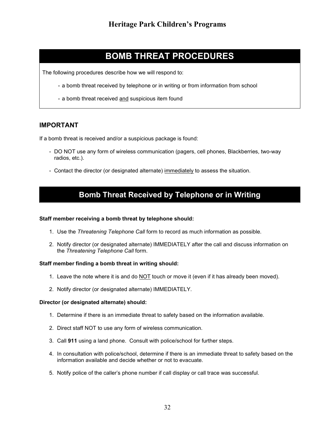# BOMB THREAT PROCEDURES

The following procedures describe how we will respond to:

- a bomb threat received by telephone or in writing or from information from school
- a bomb threat received and suspicious item found

#### IMPORTANT

If a bomb threat is received and/or a suspicious package is found:

- DO NOT use any form of wireless communication (pagers, cell phones, Blackberries, two-way radios, etc.).
- Contact the director (or designated alternate) immediately to assess the situation.

# Bomb Threat Received by Telephone or in Writing

#### Staff member receiving a bomb threat by telephone should:

- 1. Use the Threatening Telephone Call form to record as much information as possible.
- 2. Notify director (or designated alternate) IMMEDIATELY after the call and discuss information on the Threatening Telephone Call form.

#### Staff member finding a bomb threat in writing should:

- 1. Leave the note where it is and do  $NOT$  touch or move it (even if it has already been moved).
- 2. Notify director (or designated alternate) IMMEDIATELY.

- 1. Determine if there is an immediate threat to safety based on the information available.
- 2. Direct staff NOT to use any form of wireless communication.
- 3. Call 911 using a land phone. Consult with police/school for further steps.
- 4. In consultation with police/school, determine if there is an immediate threat to safety based on the information available and decide whether or not to evacuate.
- 5. Notify police of the caller's phone number if call display or call trace was successful.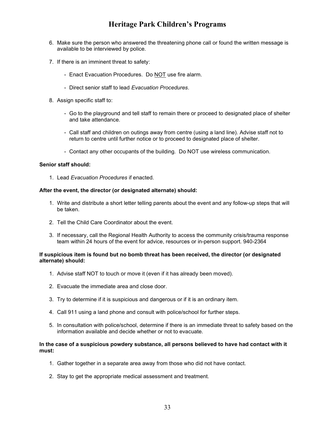- 6. Make sure the person who answered the threatening phone call or found the written message is available to be interviewed by police.
- 7. If there is an imminent threat to safety:
	- Enact Evacuation Procedures. Do NOT use fire alarm.
	- Direct senior staff to lead Evacuation Procedures.
- 8. Assign specific staff to:
	- Go to the playground and tell staff to remain there or proceed to designated place of shelter and take attendance.
	- Call staff and children on outings away from centre (using a land line). Advise staff not to return to centre until further notice or to proceed to designated place of shelter.
	- Contact any other occupants of the building. Do NOT use wireless communication.

#### Senior staff should:

1. Lead Evacuation Procedures if enacted.

#### After the event, the director (or designated alternate) should:

- 1. Write and distribute a short letter telling parents about the event and any follow-up steps that will be taken.
- 2. Tell the Child Care Coordinator about the event.
- 3. If necessary, call the Regional Health Authority to access the community crisis/trauma response team within 24 hours of the event for advice, resources or in-person support. 940-2364

#### If suspicious item is found but no bomb threat has been received, the director (or designated alternate) should:

- 1. Advise staff NOT to touch or move it (even if it has already been moved).
- 2. Evacuate the immediate area and close door.
- 3. Try to determine if it is suspicious and dangerous or if it is an ordinary item.
- 4. Call 911 using a land phone and consult with police/school for further steps.
- 5. In consultation with police/school, determine if there is an immediate threat to safety based on the information available and decide whether or not to evacuate.

#### In the case of a suspicious powdery substance, all persons believed to have had contact with it must:

- 1. Gather together in a separate area away from those who did not have contact.
- 2. Stay to get the appropriate medical assessment and treatment.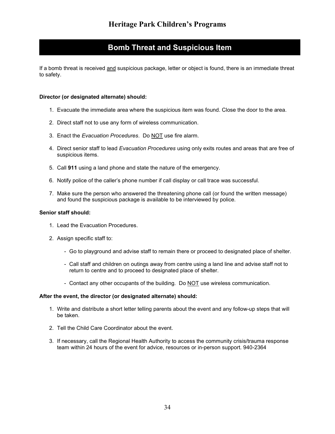# Bomb Threat and Suspicious Item

If a bomb threat is received and suspicious package, letter or object is found, there is an immediate threat to safety.

#### Director (or designated alternate) should:

- 1. Evacuate the immediate area where the suspicious item was found. Close the door to the area.
- 2. Direct staff not to use any form of wireless communication.
- 3. Enact the Evacuation Procedures. Do NOT use fire alarm.
- 4. Direct senior staff to lead Evacuation Procedures using only exits routes and areas that are free of suspicious items.
- 5. Call 911 using a land phone and state the nature of the emergency.
- 6. Notify police of the caller's phone number if call display or call trace was successful.
- 7. Make sure the person who answered the threatening phone call (or found the written message) and found the suspicious package is available to be interviewed by police.

#### Senior staff should:

- 1. Lead the Evacuation Procedures.
- 2. Assign specific staff to:
	- Go to playground and advise staff to remain there or proceed to designated place of shelter.
	- Call staff and children on outings away from centre using a land line and advise staff not to return to centre and to proceed to designated place of shelter.
	- Contact any other occupants of the building. Do NOT use wireless communication.

#### After the event, the director (or designated alternate) should:

- 1. Write and distribute a short letter telling parents about the event and any follow-up steps that will be taken.
- 2. Tell the Child Care Coordinator about the event.
- 3. If necessary, call the Regional Health Authority to access the community crisis/trauma response team within 24 hours of the event for advice, resources or in-person support. 940-2364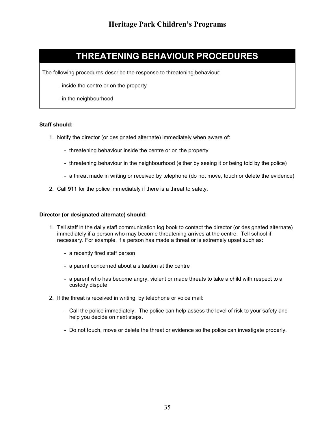# THREATENING BEHAVIOUR PROCEDURES

The following procedures describe the response to threatening behaviour:

- inside the centre or on the property
- in the neighbourhood

#### Staff should:

- 1. Notify the director (or designated alternate) immediately when aware of:
	- threatening behaviour inside the centre or on the property
	- threatening behaviour in the neighbourhood (either by seeing it or being told by the police)
	- a threat made in writing or received by telephone (do not move, touch or delete the evidence)
- 2. Call 911 for the police immediately if there is a threat to safety.

- 1. Tell staff in the daily staff communication log book to contact the director (or designated alternate) immediately if a person who may become threatening arrives at the centre. Tell school if necessary. For example, if a person has made a threat or is extremely upset such as:
	- a recently fired staff person
	- a parent concerned about a situation at the centre
	- a parent who has become angry, violent or made threats to take a child with respect to a custody dispute
- 2. If the threat is received in writing, by telephone or voice mail:
	- Call the police immediately. The police can help assess the level of risk to your safety and help you decide on next steps.
	- Do not touch, move or delete the threat or evidence so the police can investigate properly.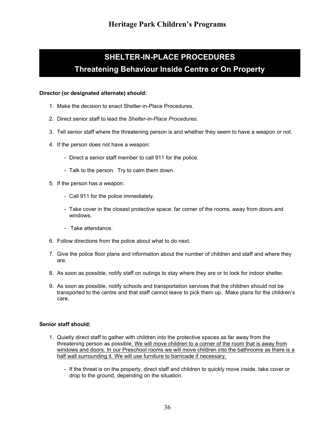# SHELTER-IN-PLACE PROCEDURES Threatening Behaviour Inside Centre or On Property

#### Director (or designated alternate) should:

- 1. Make the decision to enact Shelter-in-Place Procedures.
- 2. Direct senior staff to lead the Shelter-in-Place Procedures.
- 3. Tell senior staff where the threatening person is and whether they seem to have a weapon or not.
- 4. If the person does not have a weapon:
	- Direct a senior staff member to call 911 for the police.
	- Talk to the person. Try to calm them down.
- 5. If the person has a weapon:
	- Call 911 for the police immediately.
	- Take cover in the closest protective space: far corner of the rooms, away from doors and windows.
	- Take attendance.
- 6. Follow directions from the police about what to do next.
- 7. Give the police floor plans and information about the number of children and staff and where they are.
- 8. As soon as possible, notify staff on outings to stay where they are or to look for indoor shelter.
- 9. As soon as possible, notify schools and transportation services that the children should not be transported to the centre and that staff cannot leave to pick them up. Make plans for the children's care.

#### Senior staff should:

- 1. Quietly direct staff to gather with children into the protective spaces as far away from the threatening person as possible. We will move children to a corner of the room that is away from windows and doors. In our Preschool rooms we will move children into the bathrooms as there is a half wall surrounding it. We will use furniture to barricade if necessary.
	- If the threat is on the property, direct staff and children to quickly move inside, take cover or drop to the ground, depending on the situation.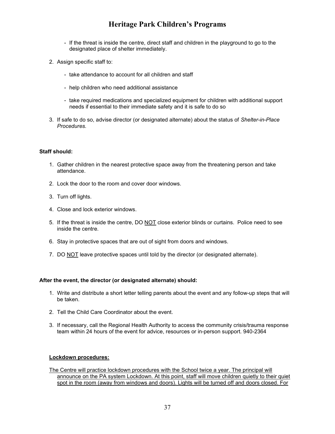- If the threat is inside the centre, direct staff and children in the playground to go to the designated place of shelter immediately.
- 2. Assign specific staff to:
	- take attendance to account for all children and staff
	- help children who need additional assistance
	- take required medications and specialized equipment for children with additional support needs if essential to their immediate safety and it is safe to do so
- 3. If safe to do so, advise director (or designated alternate) about the status of Shelter-in-Place Procedures.

#### Staff should:

- 1. Gather children in the nearest protective space away from the threatening person and take attendance.
- 2. Lock the door to the room and cover door windows.
- 3. Turn off lights.
- 4. Close and lock exterior windows.
- 5. If the threat is inside the centre, DO NOT close exterior blinds or curtains. Police need to see inside the centre.
- 6. Stay in protective spaces that are out of sight from doors and windows.
- 7. DO NOT leave protective spaces until told by the director (or designated alternate).

#### After the event, the director (or designated alternate) should:

- 1. Write and distribute a short letter telling parents about the event and any follow-up steps that will be taken.
- 2. Tell the Child Care Coordinator about the event.
- 3. If necessary, call the Regional Health Authority to access the community crisis/trauma response team within 24 hours of the event for advice, resources or in-person support. 940-2364

#### Lockdown procedures:

The Centre will practice lockdown procedures with the School twice a year. The principal will announce on the PA system Lockdown. At this point, staff will move children quietly to their quiet spot in the room (away from windows and doors). Lights will be turned off and doors closed. For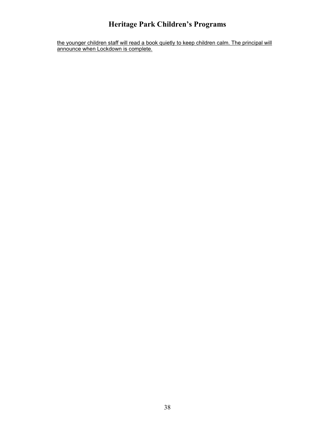the younger children staff will read a book quietly to keep children calm. The principal will announce when Lockdown is complete.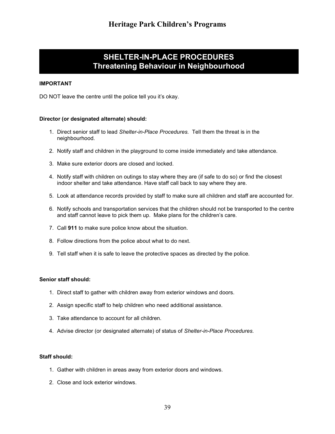# SHELTER-IN-PLACE PROCEDURES Threatening Behaviour in Neighbourhood

#### IMPORTANT

DO NOT leave the centre until the police tell you it's okay.

#### Director (or designated alternate) should:

- 1. Direct senior staff to lead Shelter-in-Place Procedures. Tell them the threat is in the neighbourhood.
- 2. Notify staff and children in the playground to come inside immediately and take attendance.
- 3. Make sure exterior doors are closed and locked.
- 4. Notify staff with children on outings to stay where they are (if safe to do so) or find the closest indoor shelter and take attendance. Have staff call back to say where they are.
- 5. Look at attendance records provided by staff to make sure all children and staff are accounted for.
- 6. Notify schools and transportation services that the children should not be transported to the centre and staff cannot leave to pick them up. Make plans for the children's care.
- 7. Call 911 to make sure police know about the situation.
- 8. Follow directions from the police about what to do next.
- 9. Tell staff when it is safe to leave the protective spaces as directed by the police.

#### Senior staff should:

- 1. Direct staff to gather with children away from exterior windows and doors.
- 2. Assign specific staff to help children who need additional assistance.
- 3. Take attendance to account for all children.
- 4. Advise director (or designated alternate) of status of Shelter-in-Place Procedures.

#### Staff should:

- 1. Gather with children in areas away from exterior doors and windows.
- 2. Close and lock exterior windows.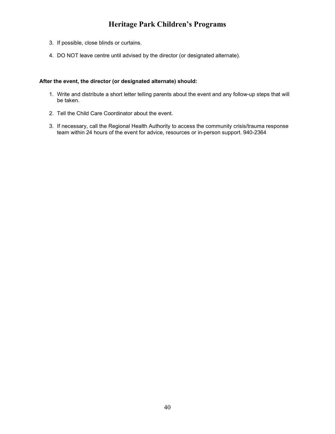- 3. If possible, close blinds or curtains.
- 4. DO NOT leave centre until advised by the director (or designated alternate).

#### After the event, the director (or designated alternate) should:

- 1. Write and distribute a short letter telling parents about the event and any follow-up steps that will be taken.
- 2. Tell the Child Care Coordinator about the event.
- 3. If necessary, call the Regional Health Authority to access the community crisis/trauma response team within 24 hours of the event for advice, resources or in-person support. 940-2364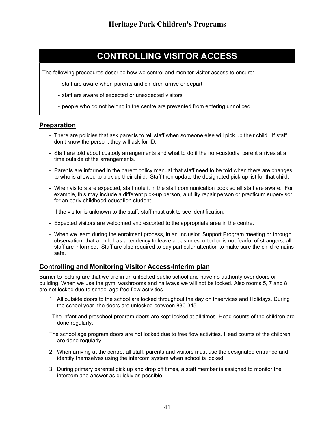# CONTROLLING VISITOR ACCESS

The following procedures describe how we control and monitor visitor access to ensure:

- staff are aware when parents and children arrive or depart
- staff are aware of expected or unexpected visitors
- people who do not belong in the centre are prevented from entering unnoticed

#### Preparation

- There are policies that ask parents to tell staff when someone else will pick up their child. If staff don't know the person, they will ask for ID.
- Staff are told about custody arrangements and what to do if the non-custodial parent arrives at a time outside of the arrangements.
- Parents are informed in the parent policy manual that staff need to be told when there are changes to who is allowed to pick up their child. Staff then update the designated pick up list for that child.
- When visitors are expected, staff note it in the staff communication book so all staff are aware. For example, this may include a different pick-up person, a utility repair person or practicum supervisor for an early childhood education student.
- If the visitor is unknown to the staff, staff must ask to see identification.
- Expected visitors are welcomed and escorted to the appropriate area in the centre.
- When we learn during the enrolment process, in an Inclusion Support Program meeting or through observation, that a child has a tendency to leave areas unescorted or is not fearful of strangers, all staff are informed. Staff are also required to pay particular attention to make sure the child remains safe.

#### Controlling and Monitoring Visitor Access-Interim plan

Barrier to locking are that we are in an unlocked public school and have no authority over doors or building. When we use the gym, washrooms and hallways we will not be locked. Also rooms 5, 7 and 8 are not locked due to school age free flow activities.

- 1. All outside doors to the school are locked throughout the day on Inservices and Holidays. During the school year, the doors are unlocked between 830-345
- . The infant and preschool program doors are kept locked at all times. Head counts of the children are done regularly.

The school age program doors are not locked due to free flow activities. Head counts of the children are done regularly.

- 2. When arriving at the centre, all staff, parents and visitors must use the designated entrance and identify themselves using the intercom system when school is locked.
- 3. During primary parental pick up and drop off times, a staff member is assigned to monitor the intercom and answer as quickly as possible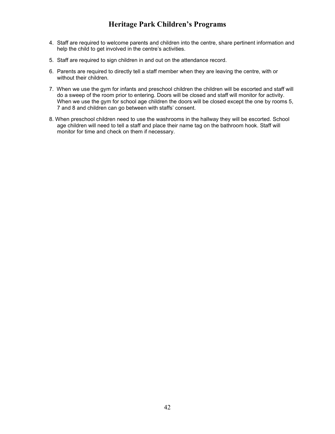- 4. Staff are required to welcome parents and children into the centre, share pertinent information and help the child to get involved in the centre's activities.
- 5. Staff are required to sign children in and out on the attendance record.
- 6. Parents are required to directly tell a staff member when they are leaving the centre, with or without their children.
- 7. When we use the gym for infants and preschool children the children will be escorted and staff will do a sweep of the room prior to entering. Doors will be closed and staff will monitor for activity. When we use the gym for school age children the doors will be closed except the one by rooms 5, 7 and 8 and children can go between with staffs' consent.
- 8. When preschool children need to use the washrooms in the hallway they will be escorted. School age children will need to tell a staff and place their name tag on the bathroom hook. Staff will monitor for time and check on them if necessary.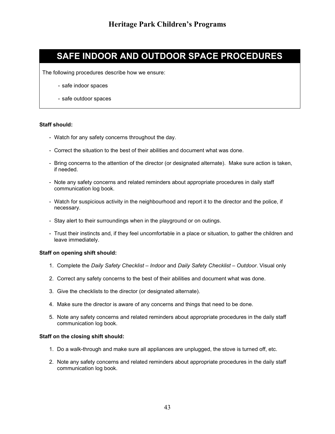# SAFE INDOOR AND OUTDOOR SPACE PROCEDURES

The following procedures describe how we ensure:

- safe indoor spaces
- safe outdoor spaces

#### Staff should:

- Watch for any safety concerns throughout the day.
- Correct the situation to the best of their abilities and document what was done.
- Bring concerns to the attention of the director (or designated alternate). Make sure action is taken, if needed.
- Note any safety concerns and related reminders about appropriate procedures in daily staff communication log book.
- Watch for suspicious activity in the neighbourhood and report it to the director and the police, if necessary.
- Stay alert to their surroundings when in the playground or on outings.
- Trust their instincts and, if they feel uncomfortable in a place or situation, to gather the children and leave immediately.

#### Staff on opening shift should:

- 1. Complete the Daily Safety Checklist Indoor and Daily Safety Checklist Outdoor. Visual only
- 2. Correct any safety concerns to the best of their abilities and document what was done.
- 3. Give the checklists to the director (or designated alternate).
- 4. Make sure the director is aware of any concerns and things that need to be done.
- 5. Note any safety concerns and related reminders about appropriate procedures in the daily staff communication log book.

#### Staff on the closing shift should:

- 1. Do a walk-through and make sure all appliances are unplugged, the stove is turned off, etc.
- 2. Note any safety concerns and related reminders about appropriate procedures in the daily staff communication log book.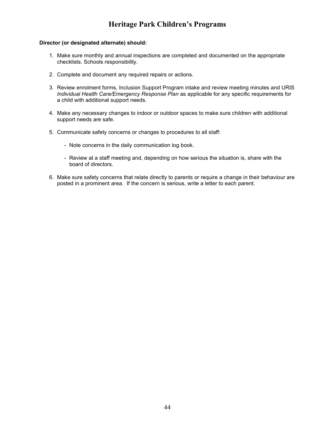- 1. Make sure monthly and annual inspections are completed and documented on the appropriate checklists. Schools responsibility.
- 2. Complete and document any required repairs or actions.
- 3. Review enrolment forms, Inclusion Support Program intake and review meeting minutes and URIS Individual Health Care/Emergency Response Plan as applicable for any specific requirements for a child with additional support needs.
- 4. Make any necessary changes to indoor or outdoor spaces to make sure children with additional support needs are safe.
- 5. Communicate safety concerns or changes to procedures to all staff:
	- Note concerns in the daily communication log book.
	- Review at a staff meeting and, depending on how serious the situation is, share with the board of directors.
- 6. Make sure safety concerns that relate directly to parents or require a change in their behaviour are posted in a prominent area. If the concern is serious, write a letter to each parent.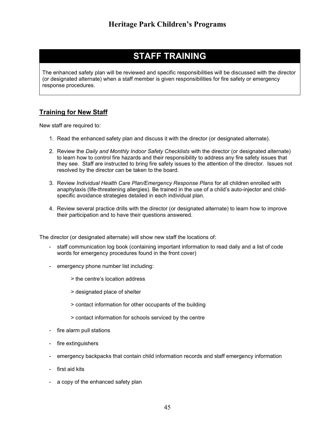# STAFF TRAINING

The enhanced safety plan will be reviewed and specific responsibilities will be discussed with the director (or designated alternate) when a staff member is given responsibilities for fire safety or emergency response procedures.

### Training for New Staff

New staff are required to:

- 1. Read the enhanced safety plan and discuss it with the director (or designated alternate).
- 2. Review the Daily and Monthly Indoor Safety Checklists with the director (or designated alternate) to learn how to control fire hazards and their responsibility to address any fire safety issues that they see. Staff are instructed to bring fire safety issues to the attention of the director. Issues not resolved by the director can be taken to the board.
- 3. Review Individual Health Care Plan/Emergency Response Plans for all children enrolled with anaphylaxis (life-threatening allergies). Be trained in the use of a child's auto-injector and childspecific avoidance strategies detailed in each individual plan.
- 4. Review several practice drills with the director (or designated alternate) to learn how to improve their participation and to have their questions answered.

The director (or designated alternate) will show new staff the locations of:

- staff communication log book (containing important information to read daily and a list of code words for emergency procedures found in the front cover)
- emergency phone number list including:
	- > the centre's location address
	- > designated place of shelter
	- > contact information for other occupants of the building
	- > contact information for schools serviced by the centre
- fire alarm pull stations
- fire extinguishers
- emergency backpacks that contain child information records and staff emergency information
- first aid kits
- a copy of the enhanced safety plan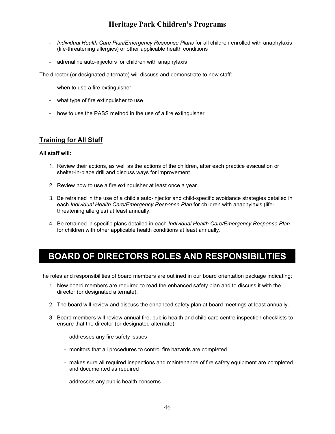- Individual Health Care Plan/Emergency Response Plans for all children enrolled with anaphylaxis (life-threatening allergies) or other applicable health conditions
- adrenaline auto-injectors for children with anaphylaxis

The director (or designated alternate) will discuss and demonstrate to new staff:

- when to use a fire extinguisher
- what type of fire extinguisher to use
- how to use the PASS method in the use of a fire extinguisher

#### Training for All Staff

#### All staff will:

- 1. Review their actions, as well as the actions of the children, after each practice evacuation or shelter-in-place drill and discuss ways for improvement.
- 2. Review how to use a fire extinguisher at least once a year.
- 3. Be retrained in the use of a child's auto-injector and child-specific avoidance strategies detailed in each Individual Health Care/Emergency Response Plan for children with anaphylaxis (lifethreatening allergies) at least annually.
- 4. Be retrained in specific plans detailed in each Individual Health Care/Emergency Response Plan for children with other applicable health conditions at least annually.

# BOARD OF DIRECTORS ROLES AND RESPONSIBILITIES

The roles and responsibilities of board members are outlined in our board orientation package indicating:

- 1. New board members are required to read the enhanced safety plan and to discuss it with the director (or designated alternate).
- 2. The board will review and discuss the enhanced safety plan at board meetings at least annually.
- 3. Board members will review annual fire, public health and child care centre inspection checklists to ensure that the director (or designated alternate):
	- addresses any fire safety issues
	- monitors that all procedures to control fire hazards are completed
	- makes sure all required inspections and maintenance of fire safety equipment are completed and documented as required
	- addresses any public health concerns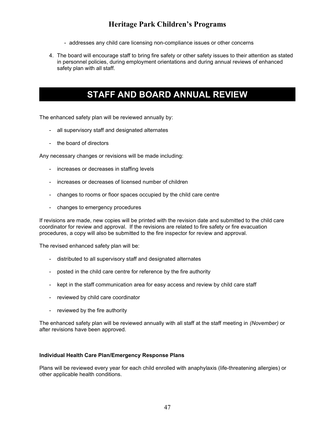- addresses any child care licensing non-compliance issues or other concerns
- 4. The board will encourage staff to bring fire safety or other safety issues to their attention as stated in personnel policies, during employment orientations and during annual reviews of enhanced safety plan with all staff.

# STAFF AND BOARD ANNUAL REVIEW

The enhanced safety plan will be reviewed annually by:

- all supervisory staff and designated alternates
- the board of directors

Any necessary changes or revisions will be made including:

- increases or decreases in staffing levels
- increases or decreases of licensed number of children
- changes to rooms or floor spaces occupied by the child care centre
- changes to emergency procedures

If revisions are made, new copies will be printed with the revision date and submitted to the child care coordinator for review and approval. If the revisions are related to fire safety or fire evacuation procedures, a copy will also be submitted to the fire inspector for review and approval.

The revised enhanced safety plan will be:

- distributed to all supervisory staff and designated alternates
- posted in the child care centre for reference by the fire authority
- kept in the staff communication area for easy access and review by child care staff
- reviewed by child care coordinator
- reviewed by the fire authority

The enhanced safety plan will be reviewed annually with all staff at the staff meeting in (November) or after revisions have been approved.

#### Individual Health Care Plan/Emergency Response Plans

Plans will be reviewed every year for each child enrolled with anaphylaxis (life-threatening allergies) or other applicable health conditions.